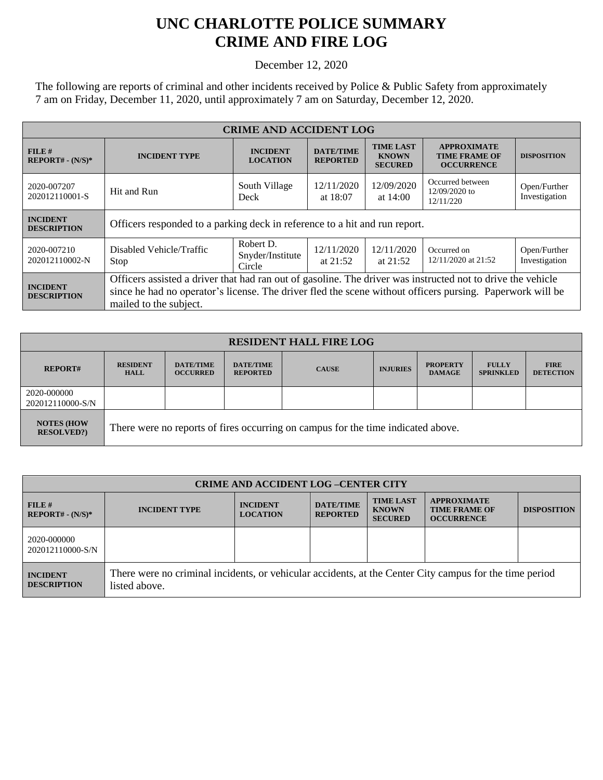## **UNC CHARLOTTE POLICE SUMMARY CRIME AND FIRE LOG**

December 12, 2020

The following are reports of criminal and other incidents received by Police & Public Safety from approximately 7 am on Friday, December 11, 2020, until approximately 7 am on Saturday, December 12, 2020.

| <b>CRIME AND ACCIDENT LOG</b>         |                                                                                                                                                                                                                                                    |                                         |                                     |                                                    |                                                                 |                               |  |
|---------------------------------------|----------------------------------------------------------------------------------------------------------------------------------------------------------------------------------------------------------------------------------------------------|-----------------------------------------|-------------------------------------|----------------------------------------------------|-----------------------------------------------------------------|-------------------------------|--|
| FILE#<br>$REPORT# - (N/S)*$           | <b>INCIDENT TYPE</b>                                                                                                                                                                                                                               | <b>INCIDENT</b><br><b>LOCATION</b>      | <b>DATE/TIME</b><br><b>REPORTED</b> | <b>TIME LAST</b><br><b>KNOWN</b><br><b>SECURED</b> | <b>APPROXIMATE</b><br><b>TIME FRAME OF</b><br><b>OCCURRENCE</b> | <b>DISPOSITION</b>            |  |
| 2020-007207<br>202012110001-S         | Hit and Run                                                                                                                                                                                                                                        | South Village<br>Deck                   | 12/11/2020<br>at $18:07$            | 12/09/2020<br>at $14:00$                           | Occurred between<br>$12/09/2020$ to<br>12/11/220                | Open/Further<br>Investigation |  |
| <b>INCIDENT</b><br><b>DESCRIPTION</b> | Officers responded to a parking deck in reference to a hit and run report.                                                                                                                                                                         |                                         |                                     |                                                    |                                                                 |                               |  |
| 2020-007210<br>202012110002-N         | Disabled Vehicle/Traffic<br>Stop                                                                                                                                                                                                                   | Robert D.<br>Snyder/Institute<br>Circle | 12/11/2020<br>at $21:52$            | 12/11/2020<br>at $21:52$                           | Occurred on<br>12/11/2020 at 21:52                              | Open/Further<br>Investigation |  |
| <b>INCIDENT</b><br><b>DESCRIPTION</b> | Officers assisted a driver that had ran out of gasoline. The driver was instructed not to drive the vehicle<br>since he had no operator's license. The driver fled the scene without officers pursing. Paperwork will be<br>mailed to the subject. |                                         |                                     |                                                    |                                                                 |                               |  |

| <b>RESIDENT HALL FIRE LOG</b>          |                                                                                  |                                     |                                     |              |                 |                                  |                                  |                                 |
|----------------------------------------|----------------------------------------------------------------------------------|-------------------------------------|-------------------------------------|--------------|-----------------|----------------------------------|----------------------------------|---------------------------------|
| <b>REPORT#</b>                         | <b>RESIDENT</b><br><b>HALL</b>                                                   | <b>DATE/TIME</b><br><b>OCCURRED</b> | <b>DATE/TIME</b><br><b>REPORTED</b> | <b>CAUSE</b> | <b>INJURIES</b> | <b>PROPERTY</b><br><b>DAMAGE</b> | <b>FULLY</b><br><b>SPRINKLED</b> | <b>FIRE</b><br><b>DETECTION</b> |
| 2020-000000<br>202012110000-S/N        |                                                                                  |                                     |                                     |              |                 |                                  |                                  |                                 |
| <b>NOTES (HOW</b><br><b>RESOLVED?)</b> | There were no reports of fires occurring on campus for the time indicated above. |                                     |                                     |              |                 |                                  |                                  |                                 |

| <b>CRIME AND ACCIDENT LOG-CENTER CITY</b> |                                                                                                                          |                                    |                                     |                                                    |                                                                 |                    |
|-------------------------------------------|--------------------------------------------------------------------------------------------------------------------------|------------------------------------|-------------------------------------|----------------------------------------------------|-----------------------------------------------------------------|--------------------|
| FILE#<br>$REPORT# - (N/S)*$               | <b>INCIDENT TYPE</b>                                                                                                     | <b>INCIDENT</b><br><b>LOCATION</b> | <b>DATE/TIME</b><br><b>REPORTED</b> | <b>TIME LAST</b><br><b>KNOWN</b><br><b>SECURED</b> | <b>APPROXIMATE</b><br><b>TIME FRAME OF</b><br><b>OCCURRENCE</b> | <b>DISPOSITION</b> |
| 2020-000000<br>202012110000-S/N           |                                                                                                                          |                                    |                                     |                                                    |                                                                 |                    |
| <b>INCIDENT</b><br><b>DESCRIPTION</b>     | There were no criminal incidents, or vehicular accidents, at the Center City campus for the time period<br>listed above. |                                    |                                     |                                                    |                                                                 |                    |